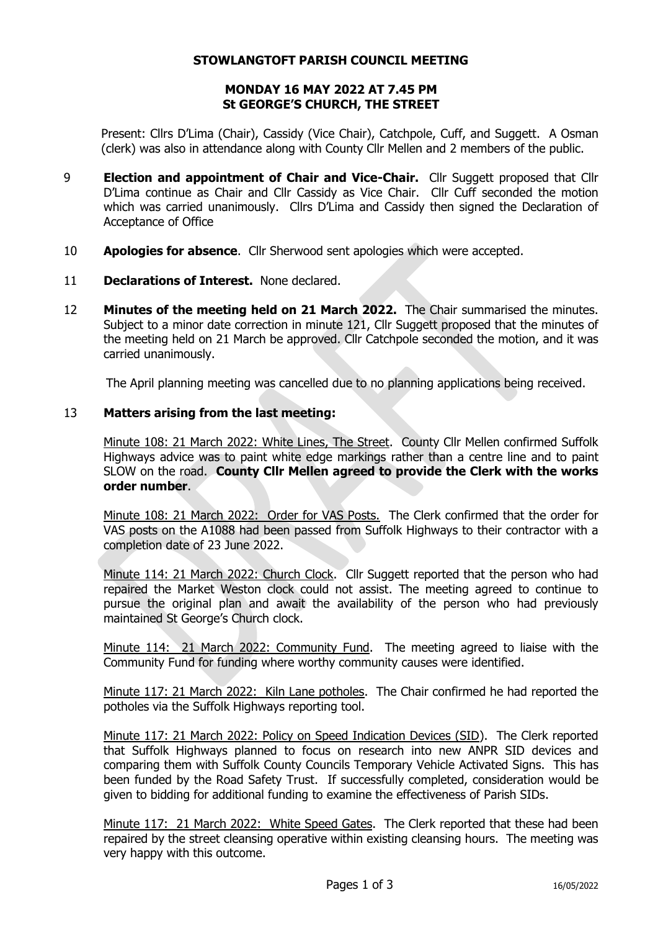## **STOWLANGTOFT PARISH COUNCIL MEETING**

## **MONDAY 16 MAY 2022 AT 7.45 PM St GEORGE'S CHURCH, THE STREET**

Present: Cllrs D'Lima (Chair), Cassidy (Vice Chair), Catchpole, Cuff, and Suggett. A Osman (clerk) was also in attendance along with County Cllr Mellen and 2 members of the public.

- 9 **Election and appointment of Chair and Vice-Chair.** Cllr Suggett proposed that Cllr D'Lima continue as Chair and Cllr Cassidy as Vice Chair. Cllr Cuff seconded the motion which was carried unanimously. Cllrs D'Lima and Cassidy then signed the Declaration of Acceptance of Office
- 10 **Apologies for absence**. Cllr Sherwood sent apologies which were accepted.
- 11 **Declarations of Interest.** None declared.
- 12 **Minutes of the meeting held on 21 March 2022.** The Chair summarised the minutes. Subject to a minor date correction in minute 121, Cllr Suggett proposed that the minutes of the meeting held on 21 March be approved. Cllr Catchpole seconded the motion, and it was carried unanimously.

The April planning meeting was cancelled due to no planning applications being received.

# 13 **Matters arising from the last meeting:**

Minute 108: 21 March 2022: White Lines, The Street. County Cllr Mellen confirmed Suffolk Highways advice was to paint white edge markings rather than a centre line and to paint SLOW on the road. **County Cllr Mellen agreed to provide the Clerk with the works order number**.

Minute 108: 21 March 2022: Order for VAS Posts. The Clerk confirmed that the order for VAS posts on the A1088 had been passed from Suffolk Highways to their contractor with a completion date of 23 June 2022.

Minute 114: 21 March 2022: Church Clock. Cllr Suggett reported that the person who had repaired the Market Weston clock could not assist. The meeting agreed to continue to pursue the original plan and await the availability of the person who had previously maintained St George's Church clock.

Minute 114: 21 March 2022: Community Fund. The meeting agreed to liaise with the Community Fund for funding where worthy community causes were identified.

Minute 117: 21 March 2022: Kiln Lane potholes. The Chair confirmed he had reported the potholes via the Suffolk Highways reporting tool.

Minute 117: 21 March 2022: Policy on Speed Indication Devices (SID). The Clerk reported that Suffolk Highways planned to focus on research into new ANPR SID devices and comparing them with Suffolk County Councils Temporary Vehicle Activated Signs. This has been funded by the Road Safety Trust. If successfully completed, consideration would be given to bidding for additional funding to examine the effectiveness of Parish SIDs.

Minute 117: 21 March 2022: White Speed Gates. The Clerk reported that these had been repaired by the street cleansing operative within existing cleansing hours. The meeting was very happy with this outcome.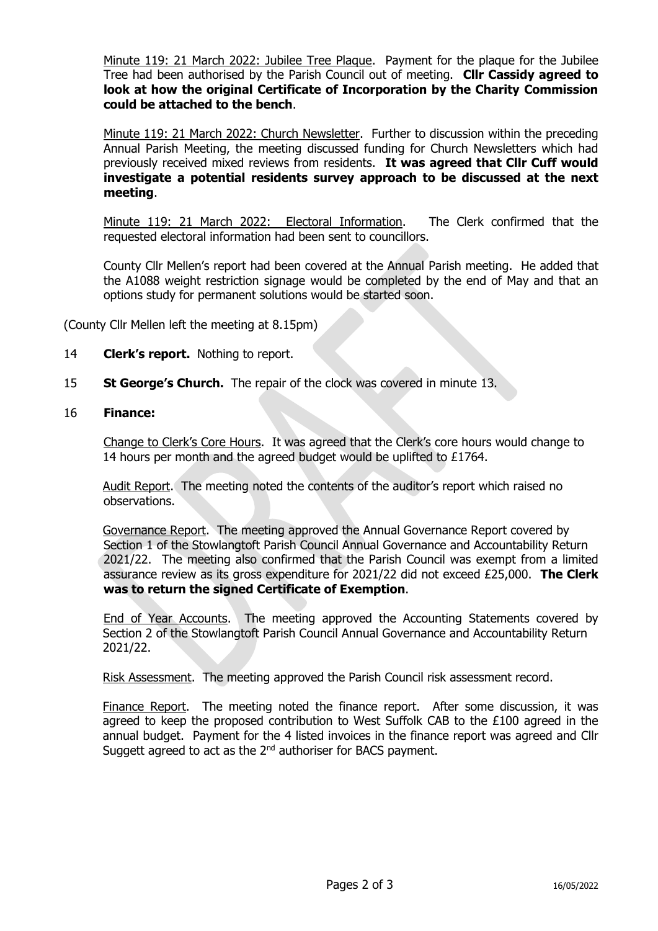Minute 119: 21 March 2022: Jubilee Tree Plaque. Payment for the plaque for the Jubilee Tree had been authorised by the Parish Council out of meeting. **Cllr Cassidy agreed to look at how the original Certificate of Incorporation by the Charity Commission could be attached to the bench**.

Minute 119: 21 March 2022: Church Newsletter. Further to discussion within the preceding Annual Parish Meeting, the meeting discussed funding for Church Newsletters which had previously received mixed reviews from residents. **It was agreed that Cllr Cuff would investigate a potential residents survey approach to be discussed at the next meeting**.

Minute 119: 21 March 2022: Electoral Information. The Clerk confirmed that the requested electoral information had been sent to councillors.

County Cllr Mellen's report had been covered at the Annual Parish meeting. He added that the A1088 weight restriction signage would be completed by the end of May and that an options study for permanent solutions would be started soon.

(County Cllr Mellen left the meeting at 8.15pm)

- 14 **Clerk's report.** Nothing to report.
- 15 **St George's Church.** The repair of the clock was covered in minute 13.

# 16 **Finance:**

Change to Clerk's Core Hours. It was agreed that the Clerk's core hours would change to 14 hours per month and the agreed budget would be uplifted to £1764.

Audit Report. The meeting noted the contents of the auditor's report which raised no observations.

Governance Report. The meeting approved the Annual Governance Report covered by Section 1 of the Stowlangtoft Parish Council Annual Governance and Accountability Return 2021/22. The meeting also confirmed that the Parish Council was exempt from a limited assurance review as its gross expenditure for 2021/22 did not exceed £25,000. **The Clerk was to return the signed Certificate of Exemption**.

End of Year Accounts. The meeting approved the Accounting Statements covered by Section 2 of the Stowlangtoft Parish Council Annual Governance and Accountability Return 2021/22.

Risk Assessment. The meeting approved the Parish Council risk assessment record.

Finance Report. The meeting noted the finance report. After some discussion, it was agreed to keep the proposed contribution to West Suffolk CAB to the £100 agreed in the annual budget. Payment for the 4 listed invoices in the finance report was agreed and Cllr Suggett agreed to act as the  $2<sup>nd</sup>$  authoriser for BACS payment.